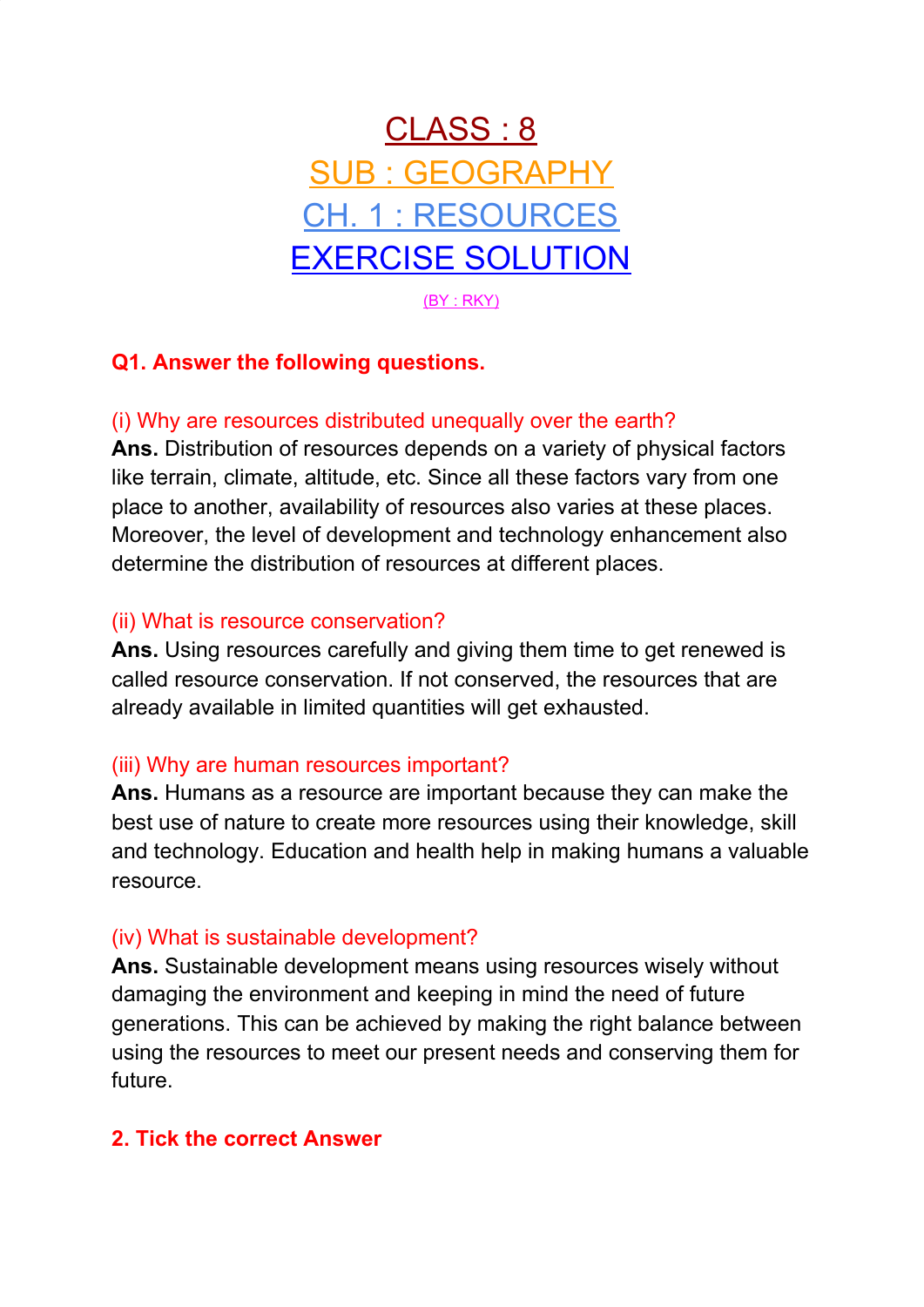

# **Q1. Answer the following questions.**

## (i) Why are resources distributed unequally over the earth?

**Ans.** Distribution of resources depends on a variety of physical factors like terrain, climate, altitude, etc. Since all these factors vary from one place to another, availability of resources also varies at these places. Moreover, the level of development and technology enhancement also determine the distribution of resources at different places.

#### (ii) What is resource conservation?

**Ans.** Using resources carefully and giving them time to get renewed is called resource conservation. If not conserved, the resources that are already available in limited quantities will get exhausted.

### (iii) Why are human resources important?

**Ans.** Humans as a resource are important because they can make the best use of nature to create more resources using their knowledge, skill and technology. Education and health help in making humans a valuable resource.

### (iv) What is sustainable development?

**Ans.** Sustainable development means using resources wisely without damaging the environment and keeping in mind the need of future generations. This can be achieved by making the right balance between using the resources to meet our present needs and conserving them for future.

### **2. Tick the correct Answer**